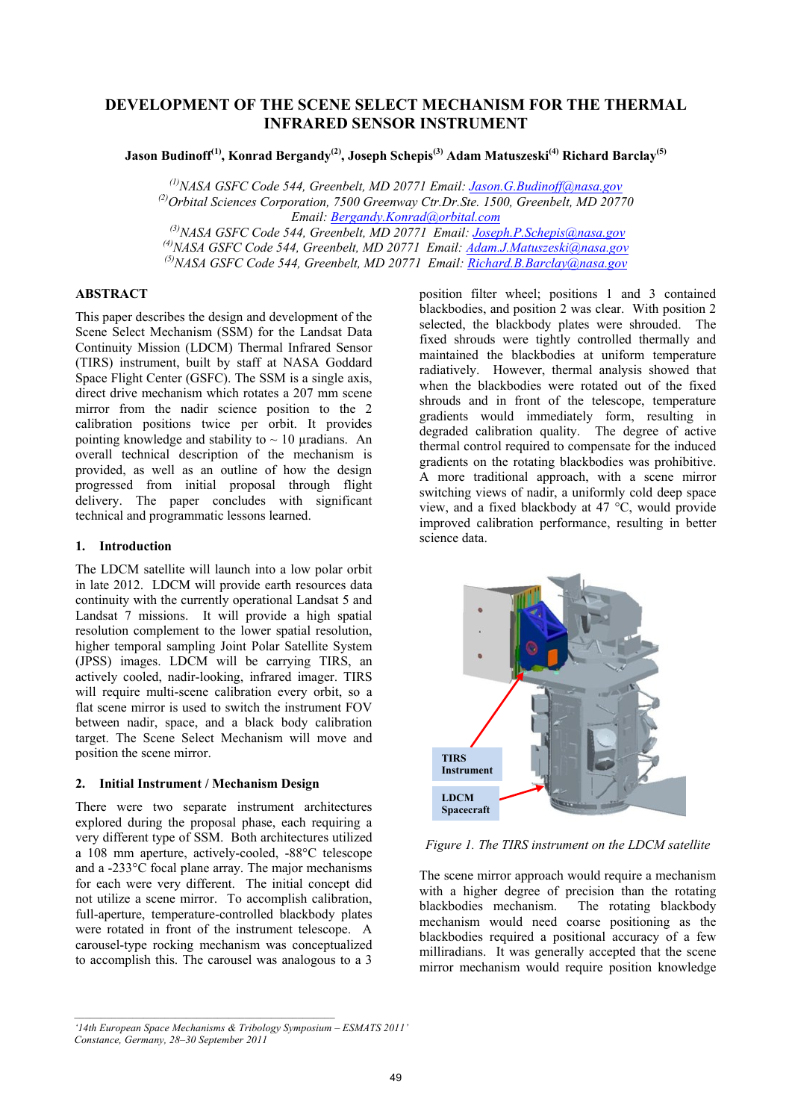# **DEVELOPMENT OF THE SCENE SELECT MECHANISM FOR THE THERMAL INFRARED SENSOR INSTRUMENT**

**Jason Budinoff(1), Konrad Bergandy(2), Joseph Schepis(3) Adam Matuszeski(4) Richard Barclay(5)**

*(1)NASA GSFC Code 544, Greenbelt, MD 20771 Email: Jason.G.Budinoff@nasa.gov (2)Orbital Sciences Corporation, 7500 Greenway Ctr.Dr.Ste. 1500, Greenbelt, MD 20770 Email: Bergandy.Konrad@orbital.com (3)NASA GSFC Code 544, Greenbelt, MD 20771 Email: Joseph.P.Schepis@nasa.gov (4)NASA GSFC Code 544, Greenbelt, MD 20771 Email: Adam.J.Matuszeski@nasa.gov (5)NASA GSFC Code 544, Greenbelt, MD 20771 Email: Richard.B.Barclay@nasa.gov*

# **ABSTRACT**

This paper describes the design and development of the Scene Select Mechanism (SSM) for the Landsat Data Continuity Mission (LDCM) Thermal Infrared Sensor (TIRS) instrument, built by staff at NASA Goddard Space Flight Center (GSFC). The SSM is a single axis, direct drive mechanism which rotates a 207 mm scene mirror from the nadir science position to the 2 calibration positions twice per orbit. It provides pointing knowledge and stability to  $\sim$  10 µradians. An overall technical description of the mechanism is provided, as well as an outline of how the design progressed from initial proposal through flight delivery. The paper concludes with significant technical and programmatic lessons learned.

### **1. Introduction**

The LDCM satellite will launch into a low polar orbit in late 2012. LDCM will provide earth resources data continuity with the currently operational Landsat 5 and Landsat 7 missions. It will provide a high spatial resolution complement to the lower spatial resolution, higher temporal sampling Joint Polar Satellite System (JPSS) images. LDCM will be carrying TIRS, an actively cooled, nadir-looking, infrared imager. TIRS will require multi-scene calibration every orbit, so a flat scene mirror is used to switch the instrument FOV between nadir, space, and a black body calibration target. The Scene Select Mechanism will move and position the scene mirror.

### **2. Initial Instrument / Mechanism Design**

There were two separate instrument architectures explored during the proposal phase, each requiring a very different type of SSM. Both architectures utilized a 108 mm aperture, actively-cooled, -88°C telescope and a -233°C focal plane array. The major mechanisms for each were very different. The initial concept did not utilize a scene mirror. To accomplish calibration, full-aperture, temperature-controlled blackbody plates were rotated in front of the instrument telescope. A carousel-type rocking mechanism was conceptualized to accomplish this. The carousel was analogous to a 3

position filter wheel; positions 1 and 3 contained blackbodies, and position 2 was clear. With position 2 selected, the blackbody plates were shrouded. The fixed shrouds were tightly controlled thermally and maintained the blackbodies at uniform temperature radiatively. However, thermal analysis showed that when the blackbodies were rotated out of the fixed shrouds and in front of the telescope, temperature gradients would immediately form, resulting in degraded calibration quality. The degree of active thermal control required to compensate for the induced gradients on the rotating blackbodies was prohibitive. A more traditional approach, with a scene mirror switching views of nadir, a uniformly cold deep space view, and a fixed blackbody at 47 °C, would provide improved calibration performance, resulting in better science data.



*Figure 1. The TIRS instrument on the LDCM satellite* 

The scene mirror approach would require a mechanism with a higher degree of precision than the rotating blackbodies mechanism. The rotating blackbody mechanism would need coarse positioning as the blackbodies required a positional accuracy of a few milliradians. It was generally accepted that the scene mirror mechanism would require position knowledge

*<sup>&#</sup>x27;14th European Space Mechanisms & Tribology Symposium – ESMATS 2011' Constance, Germany, 28–30 September 2011*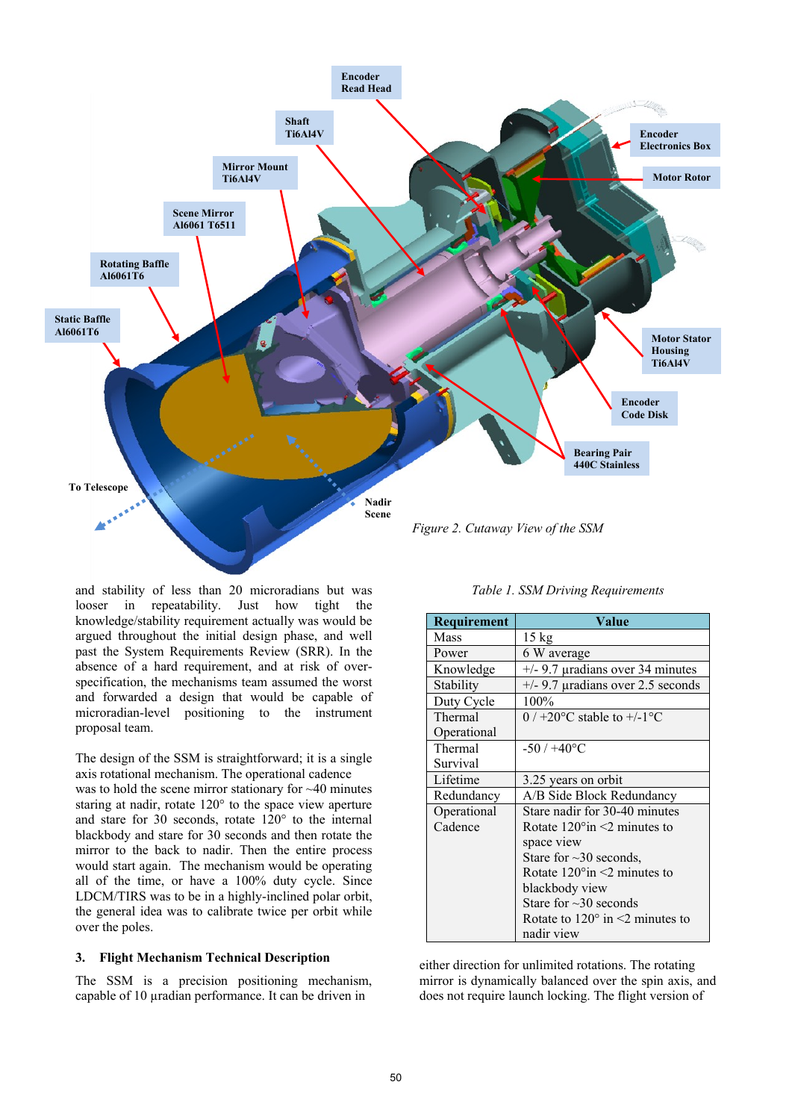

and stability of less than 20 microradians but was looser in repeatability. Just how tight the knowledge/stability requirement actually was would be argued throughout the initial design phase, and well past the System Requirements Review (SRR). In the absence of a hard requirement, and at risk of overspecification, the mechanisms team assumed the worst and forwarded a design that would be capable of microradian-level positioning to the instrument proposal team.

The design of the SSM is straightforward; it is a single axis rotational mechanism. The operational cadence was to hold the scene mirror stationary for ~40 minutes staring at nadir, rotate 120° to the space view aperture and stare for 30 seconds, rotate 120° to the internal blackbody and stare for 30 seconds and then rotate the mirror to the back to nadir. Then the entire process would start again. The mechanism would be operating all of the time, or have a 100% duty cycle. Since LDCM/TIRS was to be in a highly-inclined polar orbit, the general idea was to calibrate twice per orbit while over the poles.

### **3. Flight Mechanism Technical Description**

The SSM is a precision positioning mechanism, capable of 10 µradian performance. It can be driven in

| Table 1. SSM Driving Requirements |  |
|-----------------------------------|--|
|-----------------------------------|--|

| <b>Requirement</b> | Value                                              |
|--------------------|----------------------------------------------------|
| Mass               | $15 \text{ kg}$                                    |
| Power              | 6 W average                                        |
| Knowledge          | $+/-$ 9.7 µradians over 34 minutes                 |
| Stability          | $+/-$ 9.7 µradians over 2.5 seconds                |
| Duty Cycle         | 100%                                               |
| Thermal            | $0$ / +20 $^{\circ}$ C stable to +/-1 $^{\circ}$ C |
| Operational        |                                                    |
| Thermal            | $-50/+40$ °C                                       |
| Survival           |                                                    |
| Lifetime           | 3.25 years on orbit                                |
| Redundancy         | A/B Side Block Redundancy                          |
| Operational        | Stare nadir for 30-40 minutes                      |
| Cadence            | Rotate $120^{\circ}$ in <2 minutes to              |
|                    | space view                                         |
|                    | Stare for $\sim$ 30 seconds.                       |
|                    | Rotate $120^{\circ}$ in $\leq$ 2 minutes to        |
|                    | blackbody view                                     |
|                    | Stare for $\sim$ 30 seconds                        |
|                    | Rotate to $120^{\circ}$ in $\leq$ minutes to       |
|                    | nadir view                                         |

either direction for unlimited rotations. The rotating mirror is dynamically balanced over the spin axis, and does not require launch locking. The flight version of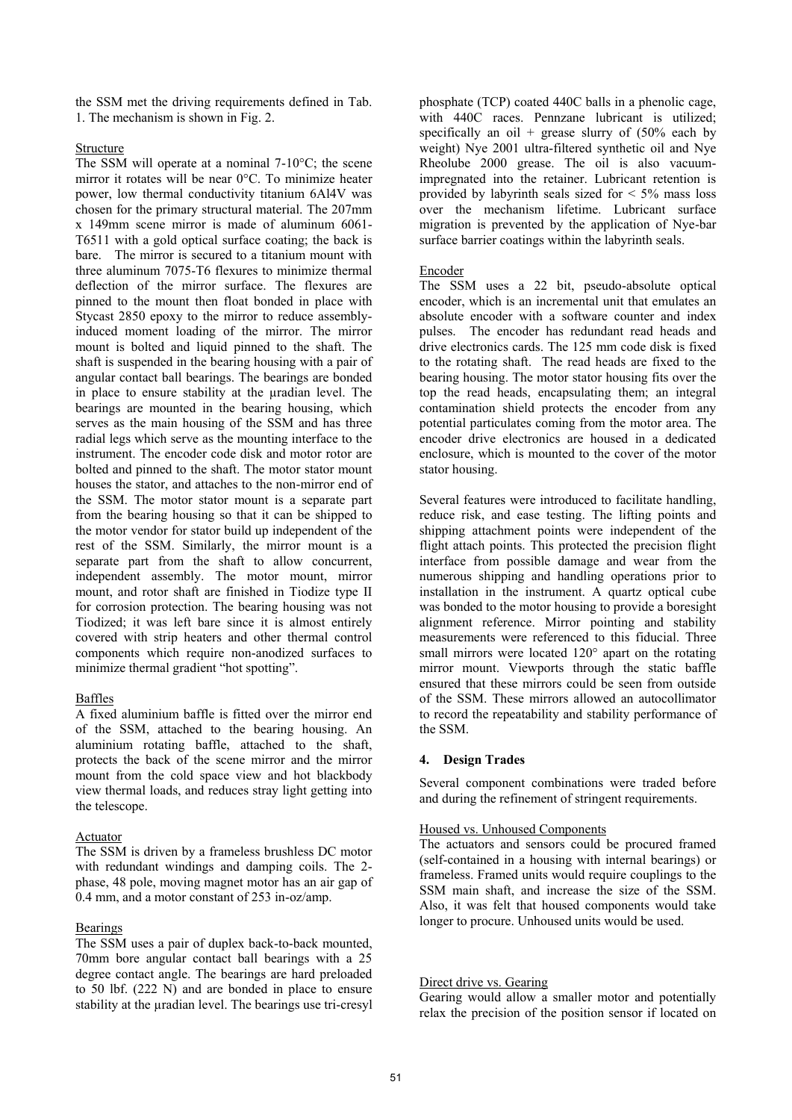the SSM met the driving requirements defined in Tab. 1. The mechanism is shown in Fig. 2.

### Structure

The SSM will operate at a nominal 7-10°C; the scene mirror it rotates will be near 0°C. To minimize heater power, low thermal conductivity titanium 6Al4V was chosen for the primary structural material. The 207mm x 149mm scene mirror is made of aluminum 6061- T6511 with a gold optical surface coating; the back is bare. The mirror is secured to a titanium mount with three aluminum 7075-T6 flexures to minimize thermal deflection of the mirror surface. The flexures are pinned to the mount then float bonded in place with Stycast 2850 epoxy to the mirror to reduce assemblyinduced moment loading of the mirror. The mirror mount is bolted and liquid pinned to the shaft. The shaft is suspended in the bearing housing with a pair of angular contact ball bearings. The bearings are bonded in place to ensure stability at the uradian level. The bearings are mounted in the bearing housing, which serves as the main housing of the SSM and has three radial legs which serve as the mounting interface to the instrument. The encoder code disk and motor rotor are bolted and pinned to the shaft. The motor stator mount houses the stator, and attaches to the non-mirror end of the SSM. The motor stator mount is a separate part from the bearing housing so that it can be shipped to the motor vendor for stator build up independent of the rest of the SSM. Similarly, the mirror mount is a separate part from the shaft to allow concurrent, independent assembly. The motor mount, mirror mount, and rotor shaft are finished in Tiodize type II for corrosion protection. The bearing housing was not Tiodized; it was left bare since it is almost entirely covered with strip heaters and other thermal control components which require non-anodized surfaces to minimize thermal gradient "hot spotting".

# Baffles

A fixed aluminium baffle is fitted over the mirror end of the SSM, attached to the bearing housing. An aluminium rotating baffle, attached to the shaft, protects the back of the scene mirror and the mirror mount from the cold space view and hot blackbody view thermal loads, and reduces stray light getting into the telescope.

### Actuator

The SSM is driven by a frameless brushless DC motor with redundant windings and damping coils. The 2 phase, 48 pole, moving magnet motor has an air gap of 0.4 mm, and a motor constant of 253 in-oz/amp.

# **Bearings**

The SSM uses a pair of duplex back-to-back mounted, 70mm bore angular contact ball bearings with a 25 degree contact angle. The bearings are hard preloaded to 50 lbf. (222 N) and are bonded in place to ensure stability at the *uradian* level. The bearings use tri-cresyl

phosphate (TCP) coated 440C balls in a phenolic cage, with 440C races. Pennzane lubricant is utilized; specifically an oil + grease slurry of  $(50\%$  each by weight) Nye 2001 ultra-filtered synthetic oil and Nye Rheolube 2000 grease. The oil is also vacuumimpregnated into the retainer. Lubricant retention is provided by labyrinth seals sized for  $\leq 5\%$  mass loss over the mechanism lifetime. Lubricant surface migration is prevented by the application of Nye-bar surface barrier coatings within the labyrinth seals.

### Encoder

The SSM uses a 22 bit, pseudo-absolute optical encoder, which is an incremental unit that emulates an absolute encoder with a software counter and index pulses. The encoder has redundant read heads and drive electronics cards. The 125 mm code disk is fixed to the rotating shaft. The read heads are fixed to the bearing housing. The motor stator housing fits over the top the read heads, encapsulating them; an integral contamination shield protects the encoder from any potential particulates coming from the motor area. The encoder drive electronics are housed in a dedicated enclosure, which is mounted to the cover of the motor stator housing.

Several features were introduced to facilitate handling, reduce risk, and ease testing. The lifting points and shipping attachment points were independent of the flight attach points. This protected the precision flight interface from possible damage and wear from the numerous shipping and handling operations prior to installation in the instrument. A quartz optical cube was bonded to the motor housing to provide a boresight alignment reference. Mirror pointing and stability measurements were referenced to this fiducial. Three small mirrors were located 120° apart on the rotating mirror mount. Viewports through the static baffle ensured that these mirrors could be seen from outside of the SSM. These mirrors allowed an autocollimator to record the repeatability and stability performance of the SSM.

# **4. Design Trades**

Several component combinations were traded before and during the refinement of stringent requirements.

### Housed vs. Unhoused Components

The actuators and sensors could be procured framed (self-contained in a housing with internal bearings) or frameless. Framed units would require couplings to the SSM main shaft, and increase the size of the SSM. Also, it was felt that housed components would take longer to procure. Unhoused units would be used.

# Direct drive vs. Gearing

Gearing would allow a smaller motor and potentially relax the precision of the position sensor if located on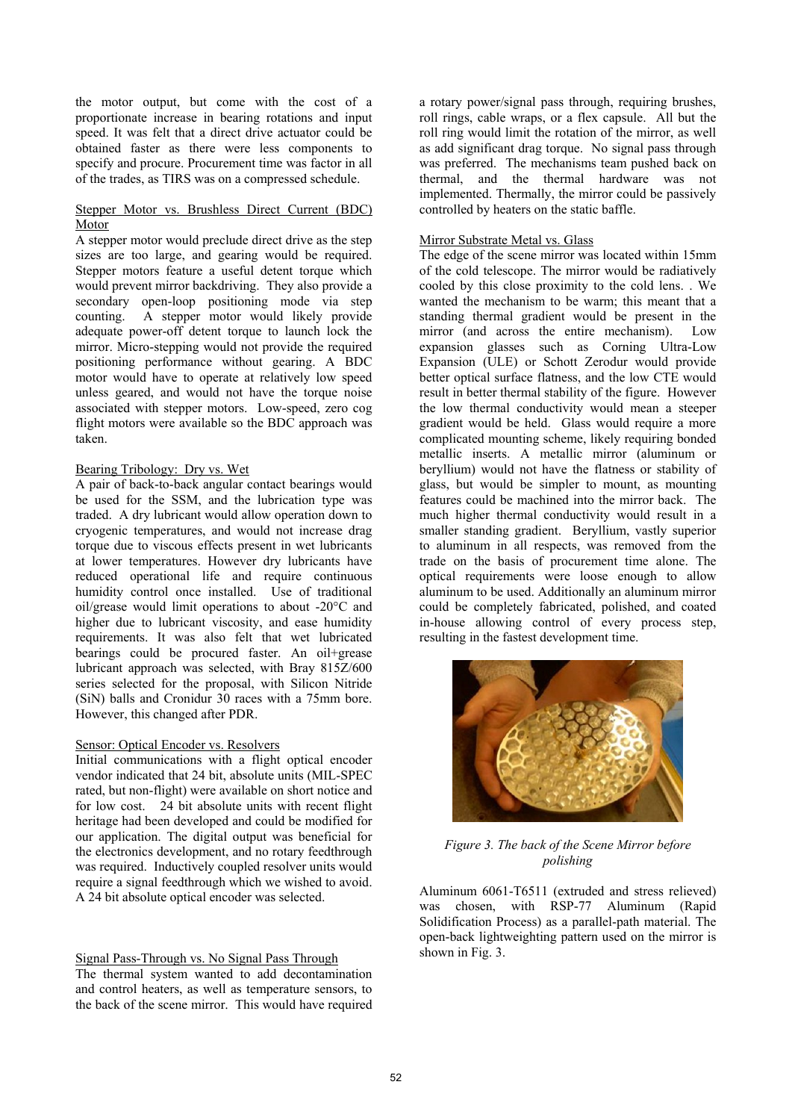the motor output, but come with the cost of a proportionate increase in bearing rotations and input speed. It was felt that a direct drive actuator could be obtained faster as there were less components to specify and procure. Procurement time was factor in all of the trades, as TIRS was on a compressed schedule.

# Stepper Motor vs. Brushless Direct Current (BDC) Motor

A stepper motor would preclude direct drive as the step sizes are too large, and gearing would be required. Stepper motors feature a useful detent torque which would prevent mirror backdriving. They also provide a secondary open-loop positioning mode via step counting. A stepper motor would likely provide adequate power-off detent torque to launch lock the mirror. Micro-stepping would not provide the required positioning performance without gearing. A BDC motor would have to operate at relatively low speed unless geared, and would not have the torque noise associated with stepper motors. Low-speed, zero cog flight motors were available so the BDC approach was taken.

# Bearing Tribology: Dry vs. Wet

A pair of back-to-back angular contact bearings would be used for the SSM, and the lubrication type was traded. A dry lubricant would allow operation down to cryogenic temperatures, and would not increase drag torque due to viscous effects present in wet lubricants at lower temperatures. However dry lubricants have reduced operational life and require continuous humidity control once installed. Use of traditional oil/grease would limit operations to about -20°C and higher due to lubricant viscosity, and ease humidity requirements. It was also felt that wet lubricated bearings could be procured faster. An oil+grease lubricant approach was selected, with Bray 815Z/600 series selected for the proposal, with Silicon Nitride (SiN) balls and Cronidur 30 races with a 75mm bore. However, this changed after PDR.

### Sensor: Optical Encoder vs. Resolvers

Initial communications with a flight optical encoder vendor indicated that 24 bit, absolute units (MIL-SPEC rated, but non-flight) were available on short notice and for low cost. 24 bit absolute units with recent flight heritage had been developed and could be modified for our application. The digital output was beneficial for the electronics development, and no rotary feedthrough was required. Inductively coupled resolver units would require a signal feedthrough which we wished to avoid. A 24 bit absolute optical encoder was selected.

# Signal Pass-Through vs. No Signal Pass Through

The thermal system wanted to add decontamination and control heaters, as well as temperature sensors, to the back of the scene mirror. This would have required

a rotary power/signal pass through, requiring brushes, roll rings, cable wraps, or a flex capsule. All but the roll ring would limit the rotation of the mirror, as well as add significant drag torque. No signal pass through was preferred. The mechanisms team pushed back on thermal, and the thermal hardware was not implemented. Thermally, the mirror could be passively controlled by heaters on the static baffle.

### Mirror Substrate Metal vs. Glass

The edge of the scene mirror was located within 15mm of the cold telescope. The mirror would be radiatively cooled by this close proximity to the cold lens. . We wanted the mechanism to be warm; this meant that a standing thermal gradient would be present in the mirror (and across the entire mechanism). Low expansion glasses such as Corning Ultra-Low Expansion (ULE) or Schott Zerodur would provide better optical surface flatness, and the low CTE would result in better thermal stability of the figure. However the low thermal conductivity would mean a steeper gradient would be held. Glass would require a more complicated mounting scheme, likely requiring bonded metallic inserts. A metallic mirror (aluminum or beryllium) would not have the flatness or stability of glass, but would be simpler to mount, as mounting features could be machined into the mirror back. The much higher thermal conductivity would result in a smaller standing gradient. Beryllium, vastly superior to aluminum in all respects, was removed from the trade on the basis of procurement time alone. The optical requirements were loose enough to allow aluminum to be used. Additionally an aluminum mirror could be completely fabricated, polished, and coated in-house allowing control of every process step, resulting in the fastest development time.



*Figure 3. The back of the Scene Mirror before polishing*

Aluminum 6061-T6511 (extruded and stress relieved) was chosen, with RSP-77 Aluminum (Rapid Solidification Process) as a parallel-path material. The open-back lightweighting pattern used on the mirror is shown in Fig. 3.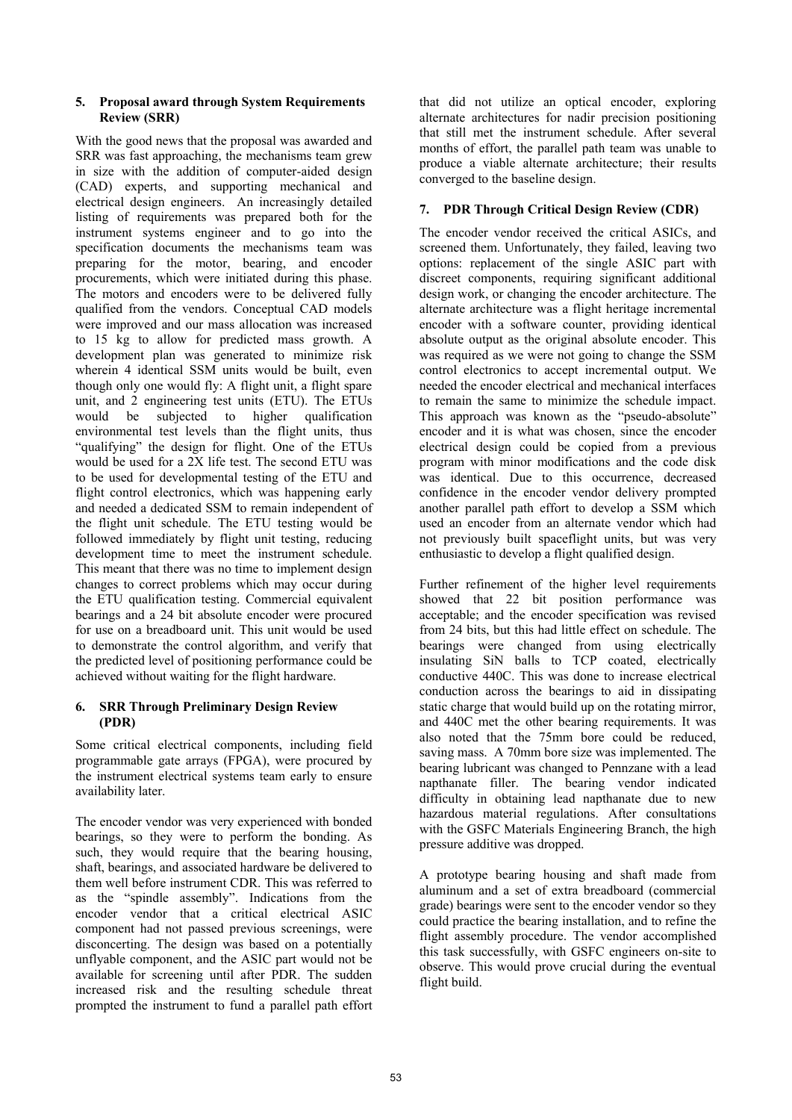### **5. Proposal award through System Requirements Review (SRR)**

With the good news that the proposal was awarded and SRR was fast approaching, the mechanisms team grew in size with the addition of computer-aided design (CAD) experts, and supporting mechanical and electrical design engineers. An increasingly detailed listing of requirements was prepared both for the instrument systems engineer and to go into the specification documents the mechanisms team was preparing for the motor, bearing, and encoder procurements, which were initiated during this phase. The motors and encoders were to be delivered fully qualified from the vendors. Conceptual CAD models were improved and our mass allocation was increased to 15 kg to allow for predicted mass growth. A development plan was generated to minimize risk wherein 4 identical SSM units would be built, even though only one would fly: A flight unit, a flight spare unit, and 2 engineering test units (ETU). The ETUs would be subjected to higher qualification environmental test levels than the flight units, thus "qualifying" the design for flight. One of the ETUs would be used for a 2X life test. The second ETU was to be used for developmental testing of the ETU and flight control electronics, which was happening early and needed a dedicated SSM to remain independent of the flight unit schedule. The ETU testing would be followed immediately by flight unit testing, reducing development time to meet the instrument schedule. This meant that there was no time to implement design changes to correct problems which may occur during the ETU qualification testing. Commercial equivalent bearings and a 24 bit absolute encoder were procured for use on a breadboard unit. This unit would be used to demonstrate the control algorithm, and verify that the predicted level of positioning performance could be achieved without waiting for the flight hardware.

# **6. SRR Through Preliminary Design Review (PDR)**

Some critical electrical components, including field programmable gate arrays (FPGA), were procured by the instrument electrical systems team early to ensure availability later.

The encoder vendor was very experienced with bonded bearings, so they were to perform the bonding. As such, they would require that the bearing housing, shaft, bearings, and associated hardware be delivered to them well before instrument CDR. This was referred to as the "spindle assembly". Indications from the encoder vendor that a critical electrical ASIC component had not passed previous screenings, were disconcerting. The design was based on a potentially unflyable component, and the ASIC part would not be available for screening until after PDR. The sudden increased risk and the resulting schedule threat prompted the instrument to fund a parallel path effort

that did not utilize an optical encoder, exploring alternate architectures for nadir precision positioning that still met the instrument schedule. After several months of effort, the parallel path team was unable to produce a viable alternate architecture; their results converged to the baseline design.

# **7. PDR Through Critical Design Review (CDR)**

The encoder vendor received the critical ASICs, and screened them. Unfortunately, they failed, leaving two options: replacement of the single ASIC part with discreet components, requiring significant additional design work, or changing the encoder architecture. The alternate architecture was a flight heritage incremental encoder with a software counter, providing identical absolute output as the original absolute encoder. This was required as we were not going to change the SSM control electronics to accept incremental output. We needed the encoder electrical and mechanical interfaces to remain the same to minimize the schedule impact. This approach was known as the "pseudo-absolute" encoder and it is what was chosen, since the encoder electrical design could be copied from a previous program with minor modifications and the code disk was identical. Due to this occurrence, decreased confidence in the encoder vendor delivery prompted another parallel path effort to develop a SSM which used an encoder from an alternate vendor which had not previously built spaceflight units, but was very enthusiastic to develop a flight qualified design.

Further refinement of the higher level requirements showed that 22 bit position performance was acceptable; and the encoder specification was revised from 24 bits, but this had little effect on schedule. The bearings were changed from using electrically insulating SiN balls to TCP coated, electrically conductive 440C. This was done to increase electrical conduction across the bearings to aid in dissipating static charge that would build up on the rotating mirror, and 440C met the other bearing requirements. It was also noted that the 75mm bore could be reduced, saving mass. A 70mm bore size was implemented. The bearing lubricant was changed to Pennzane with a lead napthanate filler. The bearing vendor indicated difficulty in obtaining lead napthanate due to new hazardous material regulations. After consultations with the GSFC Materials Engineering Branch, the high pressure additive was dropped.

A prototype bearing housing and shaft made from aluminum and a set of extra breadboard (commercial grade) bearings were sent to the encoder vendor so they could practice the bearing installation, and to refine the flight assembly procedure. The vendor accomplished this task successfully, with GSFC engineers on-site to observe. This would prove crucial during the eventual flight build.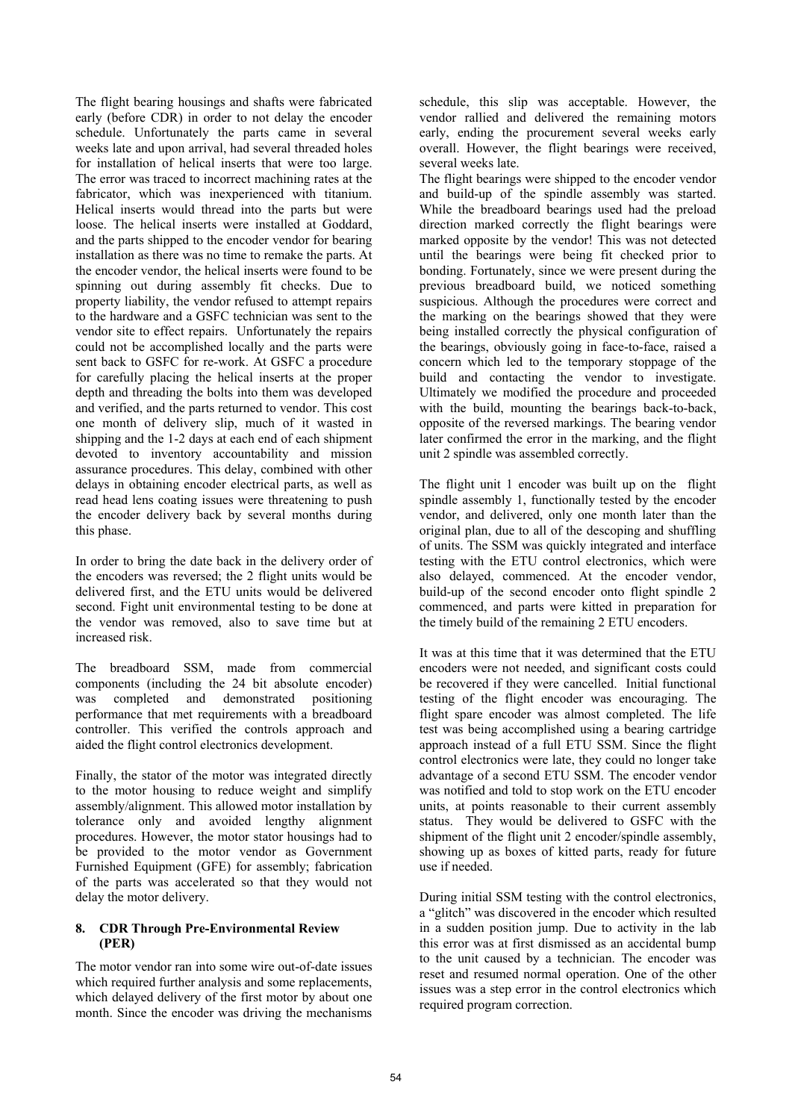The flight bearing housings and shafts were fabricated early (before CDR) in order to not delay the encoder schedule. Unfortunately the parts came in several weeks late and upon arrival, had several threaded holes for installation of helical inserts that were too large. The error was traced to incorrect machining rates at the fabricator, which was inexperienced with titanium. Helical inserts would thread into the parts but were loose. The helical inserts were installed at Goddard, and the parts shipped to the encoder vendor for bearing installation as there was no time to remake the parts. At the encoder vendor, the helical inserts were found to be spinning out during assembly fit checks. Due to property liability, the vendor refused to attempt repairs to the hardware and a GSFC technician was sent to the vendor site to effect repairs. Unfortunately the repairs could not be accomplished locally and the parts were sent back to GSFC for re-work. At GSFC a procedure for carefully placing the helical inserts at the proper depth and threading the bolts into them was developed and verified, and the parts returned to vendor. This cost one month of delivery slip, much of it wasted in shipping and the 1-2 days at each end of each shipment devoted to inventory accountability and mission assurance procedures. This delay, combined with other delays in obtaining encoder electrical parts, as well as read head lens coating issues were threatening to push the encoder delivery back by several months during this phase.

In order to bring the date back in the delivery order of the encoders was reversed; the 2 flight units would be delivered first, and the ETU units would be delivered second. Fight unit environmental testing to be done at the vendor was removed, also to save time but at increased risk.

The breadboard SSM, made from commercial components (including the 24 bit absolute encoder) was completed and demonstrated positioning performance that met requirements with a breadboard controller. This verified the controls approach and aided the flight control electronics development.

Finally, the stator of the motor was integrated directly to the motor housing to reduce weight and simplify assembly/alignment. This allowed motor installation by tolerance only and avoided lengthy alignment procedures. However, the motor stator housings had to be provided to the motor vendor as Government Furnished Equipment (GFE) for assembly; fabrication of the parts was accelerated so that they would not delay the motor delivery.

# **8. CDR Through Pre-Environmental Review (PER)**

The motor vendor ran into some wire out-of-date issues which required further analysis and some replacements, which delayed delivery of the first motor by about one month. Since the encoder was driving the mechanisms

schedule, this slip was acceptable. However, the vendor rallied and delivered the remaining motors early, ending the procurement several weeks early overall. However, the flight bearings were received, several weeks late.

The flight bearings were shipped to the encoder vendor and build-up of the spindle assembly was started. While the breadboard bearings used had the preload direction marked correctly the flight bearings were marked opposite by the vendor! This was not detected until the bearings were being fit checked prior to bonding. Fortunately, since we were present during the previous breadboard build, we noticed something suspicious. Although the procedures were correct and the marking on the bearings showed that they were being installed correctly the physical configuration of the bearings, obviously going in face-to-face, raised a concern which led to the temporary stoppage of the build and contacting the vendor to investigate. Ultimately we modified the procedure and proceeded with the build, mounting the bearings back-to-back, opposite of the reversed markings. The bearing vendor later confirmed the error in the marking, and the flight unit 2 spindle was assembled correctly.

The flight unit 1 encoder was built up on the flight spindle assembly 1, functionally tested by the encoder vendor, and delivered, only one month later than the original plan, due to all of the descoping and shuffling of units. The SSM was quickly integrated and interface testing with the ETU control electronics, which were also delayed, commenced. At the encoder vendor, build-up of the second encoder onto flight spindle 2 commenced, and parts were kitted in preparation for the timely build of the remaining 2 ETU encoders.

It was at this time that it was determined that the ETU encoders were not needed, and significant costs could be recovered if they were cancelled. Initial functional testing of the flight encoder was encouraging. The flight spare encoder was almost completed. The life test was being accomplished using a bearing cartridge approach instead of a full ETU SSM. Since the flight control electronics were late, they could no longer take advantage of a second ETU SSM. The encoder vendor was notified and told to stop work on the ETU encoder units, at points reasonable to their current assembly status. They would be delivered to GSFC with the shipment of the flight unit 2 encoder/spindle assembly, showing up as boxes of kitted parts, ready for future use if needed.

During initial SSM testing with the control electronics, a "glitch" was discovered in the encoder which resulted in a sudden position jump. Due to activity in the lab this error was at first dismissed as an accidental bump to the unit caused by a technician. The encoder was reset and resumed normal operation. One of the other issues was a step error in the control electronics which required program correction.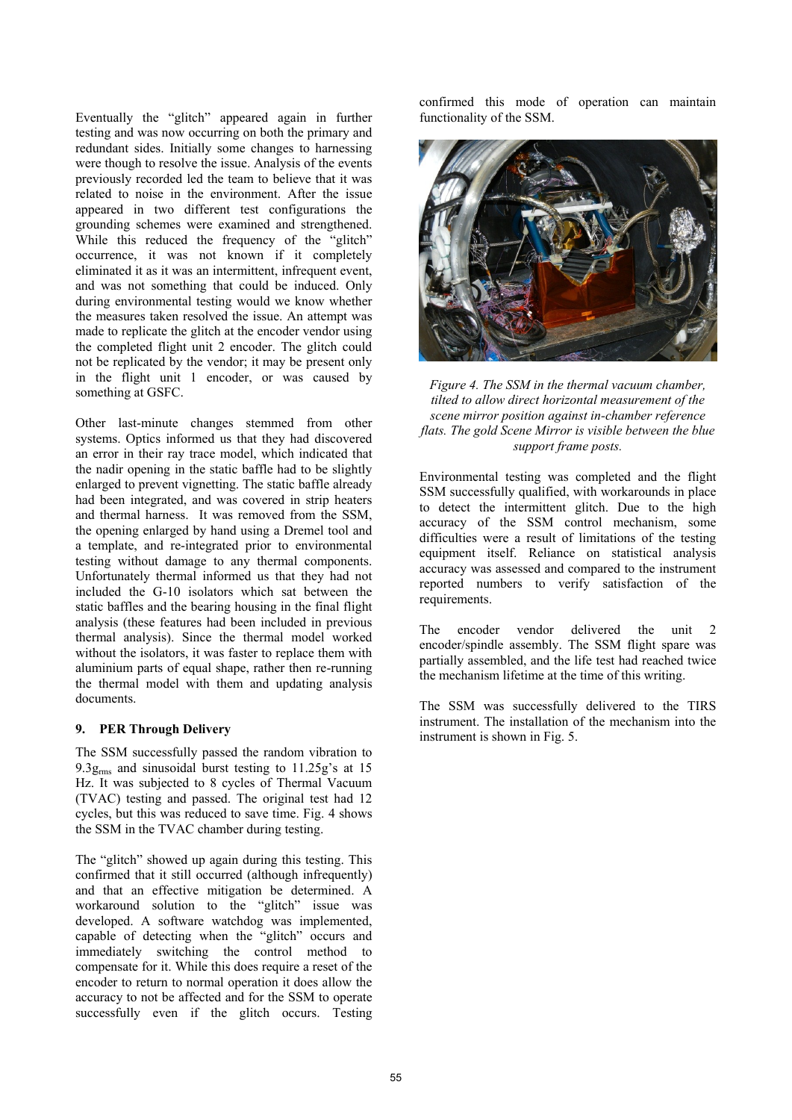Eventually the "glitch" appeared again in further testing and was now occurring on both the primary and redundant sides. Initially some changes to harnessing were though to resolve the issue. Analysis of the events previously recorded led the team to believe that it was related to noise in the environment. After the issue appeared in two different test configurations the grounding schemes were examined and strengthened. While this reduced the frequency of the "glitch" occurrence, it was not known if it completely eliminated it as it was an intermittent, infrequent event, and was not something that could be induced. Only during environmental testing would we know whether the measures taken resolved the issue. An attempt was made to replicate the glitch at the encoder vendor using the completed flight unit 2 encoder. The glitch could not be replicated by the vendor; it may be present only in the flight unit 1 encoder, or was caused by something at GSFC.

Other last-minute changes stemmed from other systems. Optics informed us that they had discovered an error in their ray trace model, which indicated that the nadir opening in the static baffle had to be slightly enlarged to prevent vignetting. The static baffle already had been integrated, and was covered in strip heaters and thermal harness. It was removed from the SSM, the opening enlarged by hand using a Dremel tool and a template, and re-integrated prior to environmental testing without damage to any thermal components. Unfortunately thermal informed us that they had not included the G-10 isolators which sat between the static baffles and the bearing housing in the final flight analysis (these features had been included in previous thermal analysis). Since the thermal model worked without the isolators, it was faster to replace them with aluminium parts of equal shape, rather then re-running the thermal model with them and updating analysis documents.

# **9. PER Through Delivery**

The SSM successfully passed the random vibration to 9.3 $g<sub>rms</sub>$  and sinusoidal burst testing to 11.25g's at 15 Hz. It was subjected to 8 cycles of Thermal Vacuum (TVAC) testing and passed. The original test had 12 cycles, but this was reduced to save time. Fig. 4 shows the SSM in the TVAC chamber during testing.

The "glitch" showed up again during this testing. This confirmed that it still occurred (although infrequently) and that an effective mitigation be determined. A workaround solution to the "glitch" issue was developed. A software watchdog was implemented, capable of detecting when the "glitch" occurs and immediately switching the control method to compensate for it. While this does require a reset of the encoder to return to normal operation it does allow the accuracy to not be affected and for the SSM to operate successfully even if the glitch occurs. Testing confirmed this mode of operation can maintain functionality of the SSM.



*Figure 4. The SSM in the thermal vacuum chamber, tilted to allow direct horizontal measurement of the scene mirror position against in-chamber reference flats. The gold Scene Mirror is visible between the blue support frame posts.*

Environmental testing was completed and the flight SSM successfully qualified, with workarounds in place to detect the intermittent glitch. Due to the high accuracy of the SSM control mechanism, some difficulties were a result of limitations of the testing equipment itself. Reliance on statistical analysis accuracy was assessed and compared to the instrument reported numbers to verify satisfaction of the requirements.

The encoder vendor delivered the unit 2 encoder/spindle assembly. The SSM flight spare was partially assembled, and the life test had reached twice the mechanism lifetime at the time of this writing.

The SSM was successfully delivered to the TIRS instrument. The installation of the mechanism into the instrument is shown in Fig. 5.